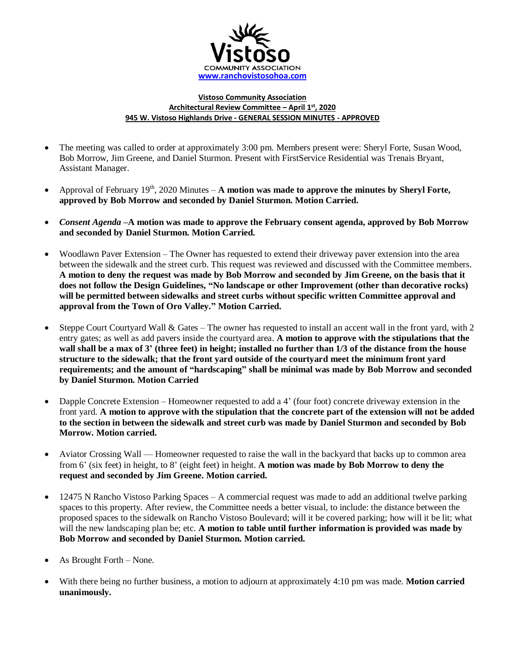

## **Vistoso Community Association Architectural Review Committee – April 1 st, 2020 945 W. Vistoso Highlands Drive - GENERAL SESSION MINUTES - APPROVED**

- The meeting was called to order at approximately 3:00 pm. Members present were: Sheryl Forte, Susan Wood, Bob Morrow, Jim Greene, and Daniel Sturmon. Present with FirstService Residential was Trenais Bryant, Assistant Manager.
- Approval of February  $19<sup>th</sup>$ , 2020 Minutes **A motion was made to approve the minutes by Sheryl Forte, approved by Bob Morrow and seconded by Daniel Sturmon. Motion Carried.**
- *Consent Agenda –***A motion was made to approve the February consent agenda, approved by Bob Morrow and seconded by Daniel Sturmon. Motion Carried.**
- Woodlawn Paver Extension The Owner has requested to extend their driveway paver extension into the area between the sidewalk and the street curb. This request was reviewed and discussed with the Committee members. **A motion to deny the request was made by Bob Morrow and seconded by Jim Greene, on the basis that it does not follow the Design Guidelines, "No landscape or other Improvement (other than decorative rocks) will be permitted between sidewalks and street curbs without specific written Committee approval and approval from the Town of Oro Valley." Motion Carried.**
- Steppe Court Courtyard Wall & Gates The owner has requested to install an accent wall in the front yard, with 2 entry gates; as well as add pavers inside the courtyard area. **A motion to approve with the stipulations that the wall shall be a max of 3' (three feet) in height; installed no further than 1/3 of the distance from the house structure to the sidewalk; that the front yard outside of the courtyard meet the minimum front yard requirements; and the amount of "hardscaping" shall be minimal was made by Bob Morrow and seconded by Daniel Sturmon. Motion Carried**
- Dapple Concrete Extension Homeowner requested to add a 4' (four foot) concrete driveway extension in the front yard. **A motion to approve with the stipulation that the concrete part of the extension will not be added to the section in between the sidewalk and street curb was made by Daniel Sturmon and seconded by Bob Morrow. Motion carried.**
- Aviator Crossing Wall Homeowner requested to raise the wall in the backyard that backs up to common area from 6' (six feet) in height, to 8' (eight feet) in height. **A motion was made by Bob Morrow to deny the request and seconded by Jim Greene. Motion carried.**
- 12475 N Rancho Vistoso Parking Spaces A commercial request was made to add an additional twelve parking spaces to this property. After review, the Committee needs a better visual, to include: the distance between the proposed spaces to the sidewalk on Rancho Vistoso Boulevard; will it be covered parking; how will it be lit; what will the new landscaping plan be; etc. **A motion to table until further information is provided was made by Bob Morrow and seconded by Daniel Sturmon. Motion carried.**
- As Brought Forth None.
- With there being no further business, a motion to adjourn at approximately 4:10 pm was made. **Motion carried unanimously.**